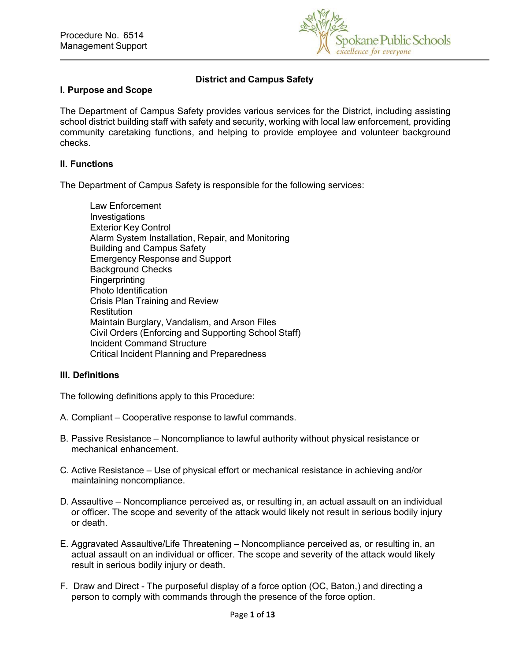

# **District and Campus Safety**

### **I. Purpose and Scope**

The Department of Campus Safety provides various services for the District, including assisting school district building staff with safety and security, working with local law enforcement, providing community caretaking functions, and helping to provide employee and volunteer background checks.

#### **II. Functions**

The Department of Campus Safety is responsible for the following services:

Law Enforcement Investigations Exterior Key Control Alarm System Installation, Repair, and Monitoring Building and Campus Safety Emergency Response and Support Background Checks **Fingerprinting** Photo Identification Crisis Plan Training and Review **Restitution** Maintain Burglary, Vandalism, and Arson Files Civil Orders (Enforcing and Supporting School Staff) Incident Command Structure Critical Incident Planning and Preparedness

## **III. Definitions**

The following definitions apply to this Procedure:

- A. Compliant Cooperative response to lawful commands.
- B. Passive Resistance Noncompliance to lawful authority without physical resistance or mechanical enhancement.
- C. Active Resistance Use of physical effort or mechanical resistance in achieving and/or maintaining noncompliance.
- D. Assaultive Noncompliance perceived as, or resulting in, an actual assault on an individual or officer. The scope and severity of the attack would likely not result in serious bodily injury or death.
- E. Aggravated Assaultive/Life Threatening Noncompliance perceived as, or resulting in, an actual assault on an individual or officer. The scope and severity of the attack would likely result in serious bodily injury or death.
- F. Draw and Direct The purposeful display of a force option (OC, Baton,) and directing a person to comply with commands through the presence of the force option.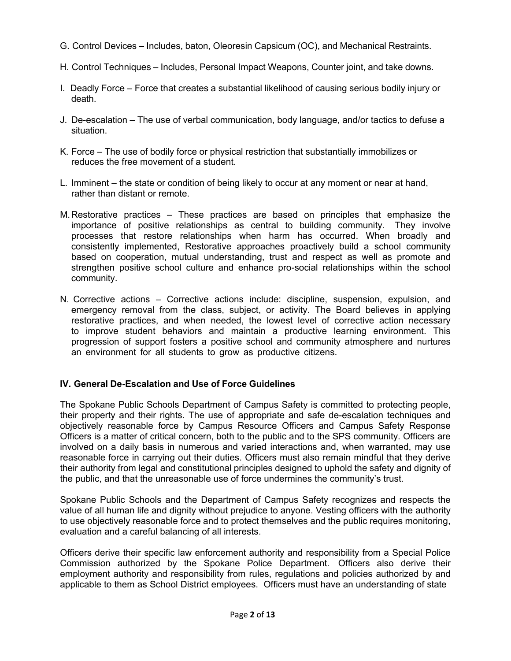- G. Control Devices Includes, baton, Oleoresin Capsicum (OC), and Mechanical Restraints.
- H. Control Techniques Includes, Personal Impact Weapons, Counter joint, and take downs.
- I. Deadly Force Force that creates a substantial likelihood of causing serious bodily injury or death.
- J. De-escalation The use of verbal communication, body language, and/or tactics to defuse a situation.
- K. Force The use of bodily force or physical restriction that substantially immobilizes or reduces the free movement of a student.
- L. Imminent the state or condition of being likely to occur at any moment or near at hand, rather than distant or remote.
- M. Restorative practices These practices are based on principles that emphasize the importance of positive relationships as central to building community. They involve processes that restore relationships when harm has occurred. When broadly and consistently implemented, Restorative approaches proactively build a school community based on cooperation, mutual understanding, trust and respect as well as promote and strengthen positive school culture and enhance pro-social relationships within the school community.
- N. Corrective actions Corrective actions include: discipline, suspension, expulsion, and emergency removal from the class, subject, or activity. The Board believes in applying restorative practices, and when needed, the lowest level of corrective action necessary to improve student behaviors and maintain a productive learning environment. This progression of support fosters a positive school and community atmosphere and nurtures an environment for all students to grow as productive citizens.

# **IV. General De-Escalation and Use of Force Guidelines**

The Spokane Public Schools Department of Campus Safety is committed to protecting people, their property and their rights. The use of appropriate and safe de-escalation techniques and objectively reasonable force by Campus Resource Officers and Campus Safety Response Officers is a matter of critical concern, both to the public and to the SPS community. Officers are involved on a daily basis in numerous and varied interactions and, when warranted, may use reasonable force in carrying out their duties. Officers must also remain mindful that they derive their authority from legal and constitutional principles designed to uphold the safety and dignity of the public, and that the unreasonable use of force undermines the community's trust.

Spokane Public Schools and the Department of Campus Safety recognizes and respects the value of all human life and dignity without prejudice to anyone. Vesting officers with the authority to use objectively reasonable force and to protect themselves and the public requires monitoring, evaluation and a careful balancing of all interests.

Officers derive their specific law enforcement authority and responsibility from a Special Police Commission authorized by the Spokane Police Department. Officers also derive their employment authority and responsibility from rules, regulations and policies authorized by and applicable to them as School District employees. Officers must have an understanding of state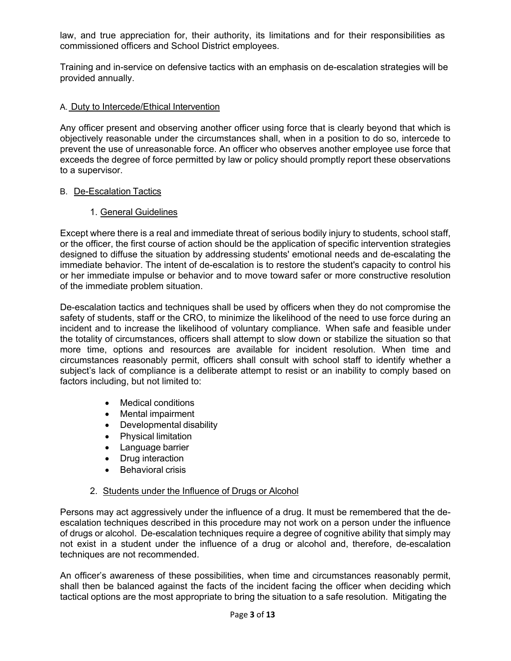law, and true appreciation for, their authority, its limitations and for their responsibilities as commissioned officers and School District employees.

Training and in-service on defensive tactics with an emphasis on de-escalation strategies will be provided annually.

## A. Duty to Intercede/Ethical Intervention

Any officer present and observing another officer using force that is clearly beyond that which is objectively reasonable under the circumstances shall, when in a position to do so, intercede to prevent the use of unreasonable force. An officer who observes another employee use force that exceeds the degree of force permitted by law or policy should promptly report these observations to a supervisor.

## B. De-Escalation Tactics

1. General Guidelines

Except where there is a real and immediate threat of serious bodily injury to students, school staff, or the officer, the first course of action should be the application of specific intervention strategies designed to diffuse the situation by addressing students' emotional needs and de-escalating the immediate behavior. The intent of de-escalation is to restore the student's capacity to control his or her immediate impulse or behavior and to move toward safer or more constructive resolution of the immediate problem situation.

De-escalation tactics and techniques shall be used by officers when they do not compromise the safety of students, staff or the CRO, to minimize the likelihood of the need to use force during an incident and to increase the likelihood of voluntary compliance. When safe and feasible under the totality of circumstances, officers shall attempt to slow down or stabilize the situation so that more time, options and resources are available for incident resolution. When time and circumstances reasonably permit, officers shall consult with school staff to identify whether a subject's lack of compliance is a deliberate attempt to resist or an inability to comply based on factors including, but not limited to:

- Medical conditions
- Mental impairment
- Developmental disability
- Physical limitation
- Language barrier
- Drug interaction
- Behavioral crisis

# 2. Students under the Influence of Drugs or Alcohol

Persons may act aggressively under the influence of a drug. It must be remembered that the deescalation techniques described in this procedure may not work on a person under the influence of drugs or alcohol. De-escalation techniques require a degree of cognitive ability that simply may not exist in a student under the influence of a drug or alcohol and, therefore, de-escalation techniques are not recommended.

An officer's awareness of these possibilities, when time and circumstances reasonably permit, shall then be balanced against the facts of the incident facing the officer when deciding which tactical options are the most appropriate to bring the situation to a safe resolution. Mitigating the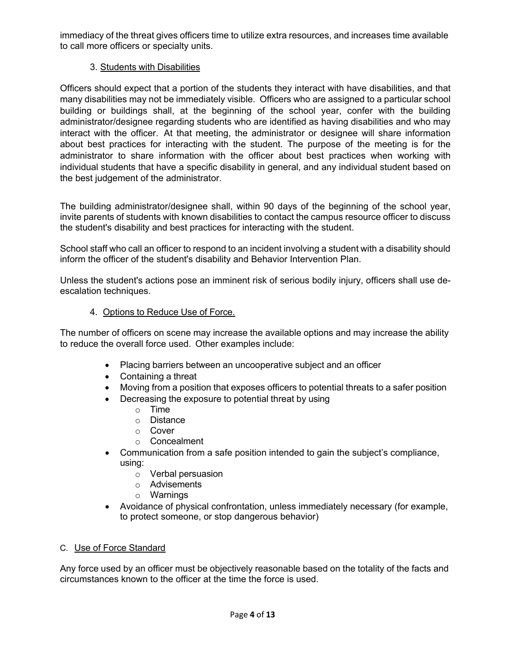immediacy of the threat gives officers time to utilize extra resources, and increases time available to call more officers or specialty units.

# 3. Students with Disabilities

Officers should expect that a portion of the students they interact with have disabilities, and that many disabilities may not be immediately visible. Officers who are assigned to a particular school building or buildings shall, at the beginning of the school year, confer with the building administrator/designee regarding students who are identified as having disabilities and who may interact with the officer. At that meeting, the administrator or designee will share information about best practices for interacting with the student. The purpose of the meeting is for the administrator to share information with the officer about best practices when working with individual students that have a specific disability in general, and any individual student based on the best judgement of the administrator.

The building administrator/designee shall, within 90 days of the beginning of the school year, invite parents of students with known disabilities to contact the campus resource officer to discuss the student's disability and best practices for interacting with the student.

School staff who call an officer to respond to an incident involving a student with a disability should inform the officer of the student's disability and Behavior Intervention Plan.

Unless the student's actions pose an imminent risk of serious bodily injury, officers shall use deescalation techniques.

## 4. Options to Reduce Use of Force.

The number of officers on scene may increase the available options and may increase the ability to reduce the overall force used. Other examples include:

- Placing barriers between an uncooperative subject and an officer
- Containing a threat
- Moving from a position that exposes officers to potential threats to a safer position
- Decreasing the exposure to potential threat by using
	- o Time
	- o Distance
	- o Cover
	- o Concealment
- Communication from a safe position intended to gain the subject's compliance, using:
	- o Verbal persuasion
	- o Advisements
	- o Warnings
- Avoidance of physical confrontation, unless immediately necessary (for example, to protect someone, or stop dangerous behavior)

## C. Use of Force Standard

Any force used by an officer must be objectively reasonable based on the totality of the facts and circumstances known to the officer at the time the force is used.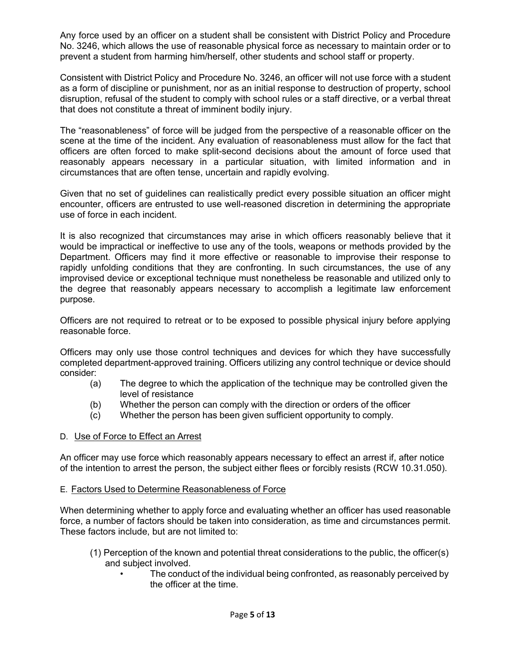Any force used by an officer on a student shall be consistent with District Policy and Procedure No. 3246, which allows the use of reasonable physical force as necessary to maintain order or to prevent a student from harming him/herself, other students and school staff or property.

Consistent with District Policy and Procedure No. 3246, an officer will not use force with a student as a form of discipline or punishment, nor as an initial response to destruction of property, school disruption, refusal of the student to comply with school rules or a staff directive, or a verbal threat that does not constitute a threat of imminent bodily injury.

The "reasonableness" of force will be judged from the perspective of a reasonable officer on the scene at the time of the incident. Any evaluation of reasonableness must allow for the fact that officers are often forced to make split-second decisions about the amount of force used that reasonably appears necessary in a particular situation, with limited information and in circumstances that are often tense, uncertain and rapidly evolving.

Given that no set of guidelines can realistically predict every possible situation an officer might encounter, officers are entrusted to use well-reasoned discretion in determining the appropriate use of force in each incident.

It is also recognized that circumstances may arise in which officers reasonably believe that it would be impractical or ineffective to use any of the tools, weapons or methods provided by the Department. Officers may find it more effective or reasonable to improvise their response to rapidly unfolding conditions that they are confronting. In such circumstances, the use of any improvised device or exceptional technique must nonetheless be reasonable and utilized only to the degree that reasonably appears necessary to accomplish a legitimate law enforcement purpose.

Officers are not required to retreat or to be exposed to possible physical injury before applying reasonable force.

Officers may only use those control techniques and devices for which they have successfully completed department-approved training. Officers utilizing any control technique or device should consider:

- (a) The degree to which the application of the technique may be controlled given the level of resistance
- (b) Whether the person can comply with the direction or orders of the officer
- (c) Whether the person has been given sufficient opportunity to comply.

## D. Use of Force to Effect an Arrest

An officer may use force which reasonably appears necessary to effect an arrest if, after notice of the intention to arrest the person, the subject either flees or forcibly resists (RCW 10.31.050).

## E. Factors Used to Determine Reasonableness of Force

When determining whether to apply force and evaluating whether an officer has used reasonable force, a number of factors should be taken into consideration, as time and circumstances permit. These factors include, but are not limited to:

- (1) Perception of the known and potential threat considerations to the public, the officer(s) and subject involved.
	- The conduct of the individual being confronted, as reasonably perceived by the officer at the time.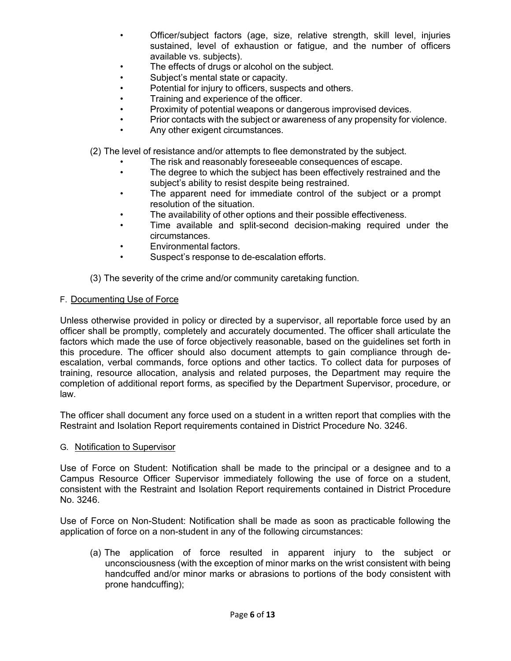- Officer/subject factors (age, size, relative strength, skill level, injuries sustained, level of exhaustion or fatigue, and the number of officers available vs. subjects).
- The effects of drugs or alcohol on the subject.
- Subject's mental state or capacity.
- Potential for injury to officers, suspects and others.
- Training and experience of the officer.
- Proximity of potential weapons or dangerous improvised devices.
- Prior contacts with the subject or awareness of any propensity for violence.
- Any other exigent circumstances.
- (2) The level of resistance and/or attempts to flee demonstrated by the subject.
	- The risk and reasonably foreseeable consequences of escape.
	- The degree to which the subject has been effectively restrained and the subject's ability to resist despite being restrained.
	- The apparent need for immediate control of the subject or a prompt resolution of the situation.
	- The availability of other options and their possible effectiveness.
	- Time available and split-second decision-making required under the circumstances.
	- Environmental factors.
	- Suspect's response to de-escalation efforts.

(3) The severity of the crime and/or community caretaking function.

#### F. Documenting Use of Force

Unless otherwise provided in policy or directed by a supervisor, all reportable force used by an officer shall be promptly, completely and accurately documented. The officer shall articulate the factors which made the use of force objectively reasonable, based on the guidelines set forth in this procedure. The officer should also document attempts to gain compliance through deescalation, verbal commands, force options and other tactics. To collect data for purposes of training, resource allocation, analysis and related purposes, the Department may require the completion of additional report forms, as specified by the Department Supervisor, procedure, or law.

The officer shall document any force used on a student in a written report that complies with the Restraint and Isolation Report requirements contained in District Procedure No. 3246.

#### G. Notification to Supervisor

Use of Force on Student: Notification shall be made to the principal or a designee and to a Campus Resource Officer Supervisor immediately following the use of force on a student, consistent with the Restraint and Isolation Report requirements contained in District Procedure No. 3246.

Use of Force on Non-Student: Notification shall be made as soon as practicable following the application of force on a non-student in any of the following circumstances:

(a) The application of force resulted in apparent injury to the subject or unconsciousness (with the exception of minor marks on the wrist consistent with being handcuffed and/or minor marks or abrasions to portions of the body consistent with prone handcuffing);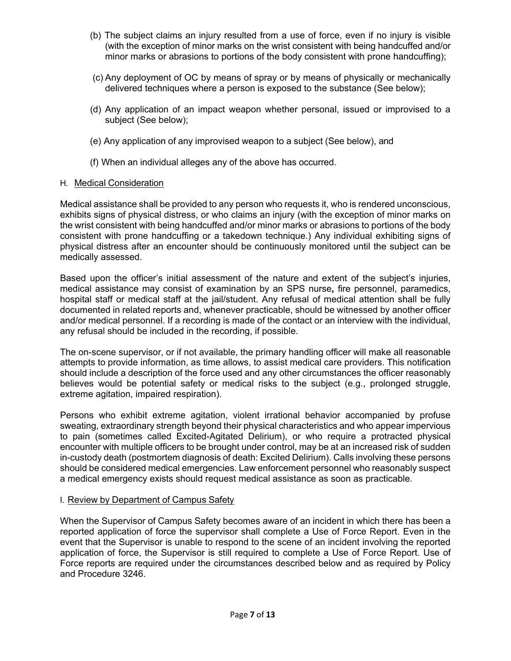- (b) The subject claims an injury resulted from a use of force, even if no injury is visible (with the exception of minor marks on the wrist consistent with being handcuffed and/or minor marks or abrasions to portions of the body consistent with prone handcuffing);
- (c) Any deployment of OC by means of spray or by means of physically or mechanically delivered techniques where a person is exposed to the substance (See below);
- (d) Any application of an impact weapon whether personal, issued or improvised to a subject (See below);
- (e) Any application of any improvised weapon to a subject (See below), and
- (f) When an individual alleges any of the above has occurred.

#### H. Medical Consideration

Medical assistance shall be provided to any person who requests it, who is rendered unconscious, exhibits signs of physical distress, or who claims an injury (with the exception of minor marks on the wrist consistent with being handcuffed and/or minor marks or abrasions to portions of the body consistent with prone handcuffing or a takedown technique.) Any individual exhibiting signs of physical distress after an encounter should be continuously monitored until the subject can be medically assessed.

Based upon the officer's initial assessment of the nature and extent of the subject's injuries, medical assistance may consist of examination by an SPS nurse*,* fire personnel, paramedics, hospital staff or medical staff at the jail/student. Any refusal of medical attention shall be fully documented in related reports and, whenever practicable, should be witnessed by another officer and/or medical personnel. If a recording is made of the contact or an interview with the individual, any refusal should be included in the recording, if possible.

The on-scene supervisor, or if not available, the primary handling officer will make all reasonable attempts to provide information, as time allows, to assist medical care providers. This notification should include a description of the force used and any other circumstances the officer reasonably believes would be potential safety or medical risks to the subject (e.g., prolonged struggle, extreme agitation, impaired respiration).

Persons who exhibit extreme agitation, violent irrational behavior accompanied by profuse sweating, extraordinary strength beyond their physical characteristics and who appear impervious to pain (sometimes called Excited-Agitated Delirium), or who require a protracted physical encounter with multiple officers to be brought under control, may be at an increased risk of sudden in-custody death (postmortem diagnosis of death: Excited Delirium). Calls involving these persons should be considered medical emergencies. Law enforcement personnel who reasonably suspect a medical emergency exists should request medical assistance as soon as practicable.

## I. Review by Department of Campus Safety

When the Supervisor of Campus Safety becomes aware of an incident in which there has been a reported application of force the supervisor shall complete a Use of Force Report. Even in the event that the Supervisor is unable to respond to the scene of an incident involving the reported application of force, the Supervisor is still required to complete a Use of Force Report. Use of Force reports are required under the circumstances described below and as required by Policy and Procedure 3246.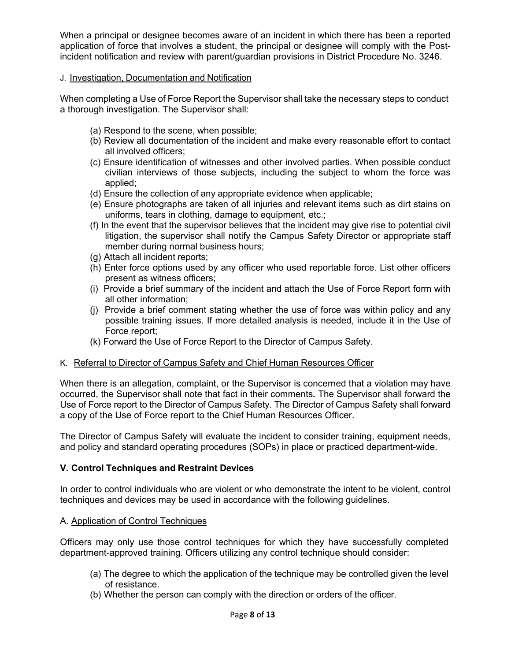When a principal or designee becomes aware of an incident in which there has been a reported application of force that involves a student, the principal or designee will comply with the Postincident notification and review with parent/guardian provisions in District Procedure No. 3246.

## J. Investigation, Documentation and Notification

When completing a Use of Force Report the Supervisor shall take the necessary steps to conduct a thorough investigation. The Supervisor shall:

- (a) Respond to the scene, when possible;
- (b) Review all documentation of the incident and make every reasonable effort to contact all involved officers;
- (c) Ensure identification of witnesses and other involved parties. When possible conduct civilian interviews of those subjects, including the subject to whom the force was applied;
- (d) Ensure the collection of any appropriate evidence when applicable;
- (e) Ensure photographs are taken of all injuries and relevant items such as dirt stains on uniforms, tears in clothing, damage to equipment, etc.;
- (f) In the event that the supervisor believes that the incident may give rise to potential civil litigation, the supervisor shall notify the Campus Safety Director or appropriate staff member during normal business hours;
- (g) Attach all incident reports;
- (h) Enter force options used by any officer who used reportable force. List other officers present as witness officers;
- (i) Provide a brief summary of the incident and attach the Use of Force Report form with all other information;
- (j) Provide a brief comment stating whether the use of force was within policy and any possible training issues. If more detailed analysis is needed, include it in the Use of Force report;
- (k) Forward the Use of Force Report to the Director of Campus Safety.

## K. Referral to Director of Campus Safety and Chief Human Resources Officer

When there is an allegation, complaint, or the Supervisor is concerned that a violation may have occurred, the Supervisor shall note that fact in their comments*.* The Supervisor shall forward the Use of Force report to the Director of Campus Safety. The Director of Campus Safety shall forward a copy of the Use of Force report to the Chief Human Resources Officer.

The Director of Campus Safety will evaluate the incident to consider training, equipment needs, and policy and standard operating procedures (SOPs) in place or practiced department-wide.

# **V. Control Techniques and Restraint Devices**

In order to control individuals who are violent or who demonstrate the intent to be violent, control techniques and devices may be used in accordance with the following guidelines.

## A. Application of Control Techniques

Officers may only use those control techniques for which they have successfully completed department-approved training. Officers utilizing any control technique should consider:

- (a) The degree to which the application of the technique may be controlled given the level of resistance.
- (b) Whether the person can comply with the direction or orders of the officer.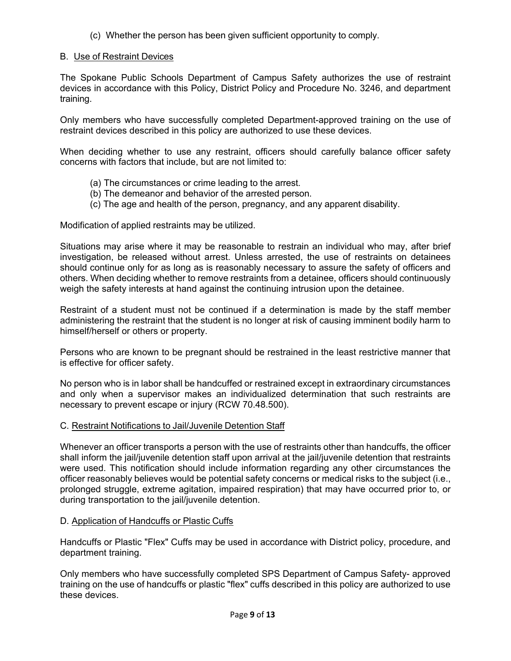(c) Whether the person has been given sufficient opportunity to comply.

## B. Use of Restraint Devices

The Spokane Public Schools Department of Campus Safety authorizes the use of restraint devices in accordance with this Policy, District Policy and Procedure No. 3246, and department training.

Only members who have successfully completed Department-approved training on the use of restraint devices described in this policy are authorized to use these devices.

When deciding whether to use any restraint, officers should carefully balance officer safety concerns with factors that include, but are not limited to:

- (a) The circumstances or crime leading to the arrest.
- (b) The demeanor and behavior of the arrested person.
- (c) The age and health of the person, pregnancy, and any apparent disability.

Modification of applied restraints may be utilized.

Situations may arise where it may be reasonable to restrain an individual who may, after brief investigation, be released without arrest. Unless arrested, the use of restraints on detainees should continue only for as long as is reasonably necessary to assure the safety of officers and others. When deciding whether to remove restraints from a detainee, officers should continuously weigh the safety interests at hand against the continuing intrusion upon the detainee.

Restraint of a student must not be continued if a determination is made by the staff member administering the restraint that the student is no longer at risk of causing imminent bodily harm to himself/herself or others or property.

Persons who are known to be pregnant should be restrained in the least restrictive manner that is effective for officer safety.

No person who is in labor shall be handcuffed or restrained except in extraordinary circumstances and only when a supervisor makes an individualized determination that such restraints are necessary to prevent escape or injury (RCW 70.48.500).

## C. Restraint Notifications to Jail/Juvenile Detention Staff

Whenever an officer transports a person with the use of restraints other than handcuffs, the officer shall inform the jail/juvenile detention staff upon arrival at the jail/juvenile detention that restraints were used. This notification should include information regarding any other circumstances the officer reasonably believes would be potential safety concerns or medical risks to the subject (i.e., prolonged struggle, extreme agitation, impaired respiration) that may have occurred prior to, or during transportation to the jail/juvenile detention.

## D. Application of Handcuffs or Plastic Cuffs

Handcuffs or Plastic "Flex" Cuffs may be used in accordance with District policy, procedure, and department training.

Only members who have successfully completed SPS Department of Campus Safety- approved training on the use of handcuffs or plastic "flex" cuffs described in this policy are authorized to use these devices.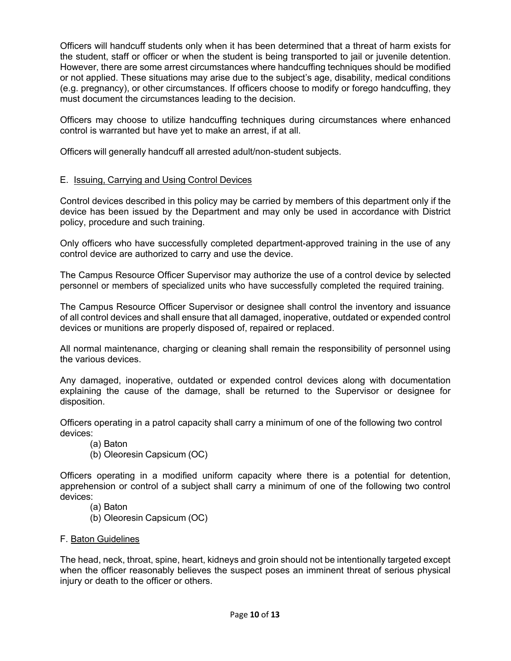Officers will handcuff students only when it has been determined that a threat of harm exists for the student, staff or officer or when the student is being transported to jail or juvenile detention. However, there are some arrest circumstances where handcuffing techniques should be modified or not applied. These situations may arise due to the subject's age, disability, medical conditions (e.g. pregnancy), or other circumstances. If officers choose to modify or forego handcuffing, they must document the circumstances leading to the decision.

Officers may choose to utilize handcuffing techniques during circumstances where enhanced control is warranted but have yet to make an arrest, if at all.

Officers will generally handcuff all arrested adult/non-student subjects.

## E. Issuing, Carrying and Using Control Devices

Control devices described in this policy may be carried by members of this department only if the device has been issued by the Department and may only be used in accordance with District policy, procedure and such training.

Only officers who have successfully completed department-approved training in the use of any control device are authorized to carry and use the device.

The Campus Resource Officer Supervisor may authorize the use of a control device by selected personnel or members of specialized units who have successfully completed the required training.

The Campus Resource Officer Supervisor or designee shall control the inventory and issuance of all control devices and shall ensure that all damaged, inoperative, outdated or expended control devices or munitions are properly disposed of, repaired or replaced.

All normal maintenance, charging or cleaning shall remain the responsibility of personnel using the various devices.

Any damaged, inoperative, outdated or expended control devices along with documentation explaining the cause of the damage, shall be returned to the Supervisor or designee for disposition.

Officers operating in a patrol capacity shall carry a minimum of one of the following two control devices:

(a) Baton

(b) Oleoresin Capsicum (OC)

Officers operating in a modified uniform capacity where there is a potential for detention, apprehension or control of a subject shall carry a minimum of one of the following two control devices:

- (a) Baton
- (b) Oleoresin Capsicum (OC)
- F. Baton Guidelines

The head, neck, throat, spine, heart, kidneys and groin should not be intentionally targeted except when the officer reasonably believes the suspect poses an imminent threat of serious physical injury or death to the officer or others.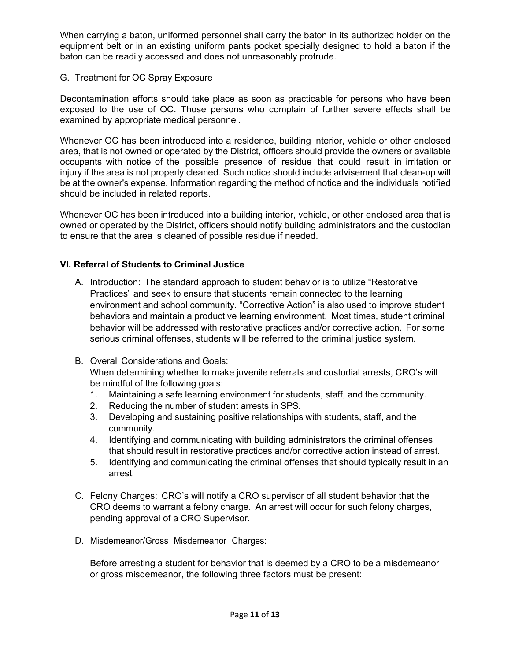When carrying a baton, uniformed personnel shall carry the baton in its authorized holder on the equipment belt or in an existing uniform pants pocket specially designed to hold a baton if the baton can be readily accessed and does not unreasonably protrude.

## G. Treatment for OC Spray Exposure

Decontamination efforts should take place as soon as practicable for persons who have been exposed to the use of OC. Those persons who complain of further severe effects shall be examined by appropriate medical personnel.

Whenever OC has been introduced into a residence, building interior, vehicle or other enclosed area, that is not owned or operated by the District, officers should provide the owners or available occupants with notice of the possible presence of residue that could result in irritation or injury if the area is not properly cleaned. Such notice should include advisement that clean-up will be at the owner's expense. Information regarding the method of notice and the individuals notified should be included in related reports.

Whenever OC has been introduced into a building interior, vehicle, or other enclosed area that is owned or operated by the District, officers should notify building administrators and the custodian to ensure that the area is cleaned of possible residue if needed.

## **VI. Referral of Students to Criminal Justice**

- A. Introduction: The standard approach to student behavior is to utilize "Restorative Practices" and seek to ensure that students remain connected to the learning environment and school community. "Corrective Action" is also used to improve student behaviors and maintain a productive learning environment. Most times, student criminal behavior will be addressed with restorative practices and/or corrective action. For some serious criminal offenses, students will be referred to the criminal justice system.
- B. Overall Considerations and Goals: When determining whether to make juvenile referrals and custodial arrests, CRO's will be mindful of the following goals:
	- 1. Maintaining a safe learning environment for students, staff, and the community.
	- 2. Reducing the number of student arrests in SPS.
	- 3. Developing and sustaining positive relationships with students, staff, and the community.
	- 4. Identifying and communicating with building administrators the criminal offenses that should result in restorative practices and/or corrective action instead of arrest.
	- 5. Identifying and communicating the criminal offenses that should typically result in an arrest.
- C. Felony Charges: CRO's will notify a CRO supervisor of all student behavior that the CRO deems to warrant a felony charge. An arrest will occur for such felony charges, pending approval of a CRO Supervisor.
- D. Misdemeanor/Gross Misdemeanor Charges:

Before arresting a student for behavior that is deemed by a CRO to be a misdemeanor or gross misdemeanor, the following three factors must be present: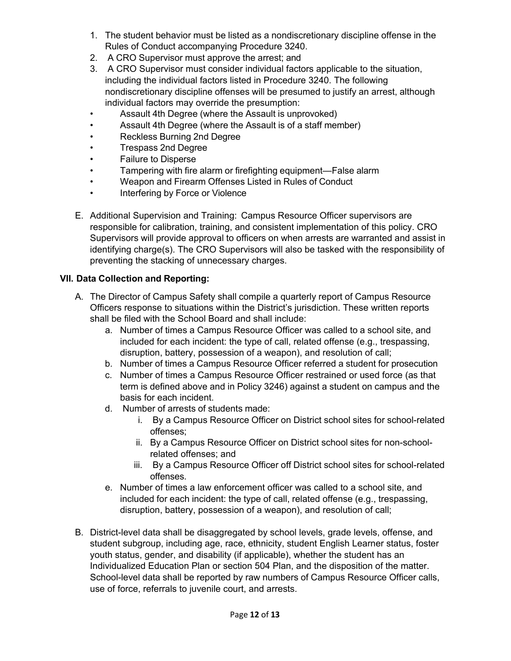- 1. The student behavior must be listed as a nondiscretionary discipline offense in the Rules of Conduct accompanying Procedure 3240.
- 2. A CRO Supervisor must approve the arrest; and
- 3. A CRO Supervisor must consider individual factors applicable to the situation, including the individual factors listed in Procedure 3240. The following nondiscretionary discipline offenses will be presumed to justify an arrest, although individual factors may override the presumption:
- Assault 4th Degree (where the Assault is unprovoked)
- Assault 4th Degree (where the Assault is of a staff member)
- Reckless Burning 2nd Degree
- Trespass 2nd Degree
- Failure to Disperse
- Tampering with fire alarm or firefighting equipment—False alarm
- Weapon and Firearm Offenses Listed in Rules of Conduct
- Interfering by Force or Violence
- E. Additional Supervision and Training: Campus Resource Officer supervisors are responsible for calibration, training, and consistent implementation of this policy. CRO Supervisors will provide approval to officers on when arrests are warranted and assist in identifying charge(s). The CRO Supervisors will also be tasked with the responsibility of preventing the stacking of unnecessary charges.

# **VII. Data Collection and Reporting:**

- A. The Director of Campus Safety shall compile a quarterly report of Campus Resource Officers response to situations within the District's jurisdiction. These written reports shall be filed with the School Board and shall include:
	- a. Number of times a Campus Resource Officer was called to a school site, and included for each incident: the type of call, related offense (e.g., trespassing, disruption, battery, possession of a weapon), and resolution of call;
	- b. Number of times a Campus Resource Officer referred a student for prosecution
	- c. Number of times a Campus Resource Officer restrained or used force (as that term is defined above and in Policy 3246) against a student on campus and the basis for each incident.
	- d. Number of arrests of students made:
		- i. By a Campus Resource Officer on District school sites for school-related offenses;
		- ii. By a Campus Resource Officer on District school sites for non-schoolrelated offenses; and
		- iii. By a Campus Resource Officer off District school sites for school-related offenses.
	- e. Number of times a law enforcement officer was called to a school site, and included for each incident: the type of call, related offense (e.g., trespassing, disruption, battery, possession of a weapon), and resolution of call;
- B. District-level data shall be disaggregated by school levels, grade levels, offense, and student subgroup, including age, race, ethnicity, student English Learner status, foster youth status, gender, and disability (if applicable), whether the student has an Individualized Education Plan or section 504 Plan, and the disposition of the matter. School-level data shall be reported by raw numbers of Campus Resource Officer calls, use of force, referrals to juvenile court, and arrests.